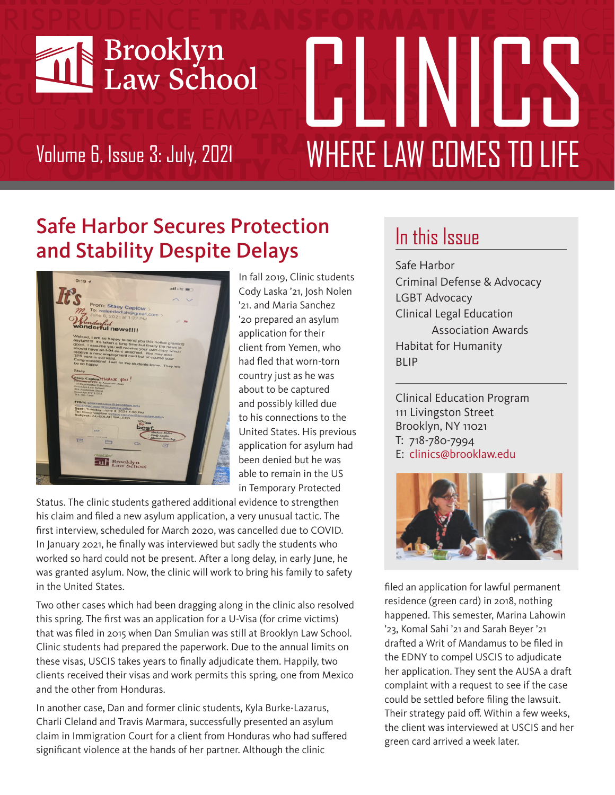

# SNULLY Volume 6, Issue 3: July, 2021 **WHERE LAW COMES TO LIFE**

## Safe Harbor Secures Protection and Stability Despite Delays



In fall 2019, Clinic students Cody Laska '21, Josh Nolen '21. and Maria Sanchez '20 prepared an asylum application for their client from Yemen, who had fled that worn-torn country just as he was about to be captured and possibly killed due to his connections to the United States. His previous application for asylum had been denied but he was able to remain in the US in Temporary Protected

Status. The clinic students gathered additional evidence to strengthen his claim and filed a new asylum application, a very unusual tactic. The first interview, scheduled for March 2020, was cancelled due to COVID. In January 2021, he finally was interviewed but sadly the students who worked so hard could not be present. After a long delay, in early June, he was granted asylum. Now, the clinic will work to bring his family to safety in the United States.

Two other cases which had been dragging along in the clinic also resolved this spring. The first was an application for a U-Visa (for crime victims) that was filed in 2015 when Dan Smulian was still at Brooklyn Law School. Clinic students had prepared the paperwork. Due to the annual limits on these visas, USCIS takes years to finally adjudicate them. Happily, two clients received their visas and work permits this spring, one from Mexico and the other from Honduras.

In another case, Dan and former clinic students, Kyla Burke-Lazarus, Charli Cleland and Travis Marmara, successfully presented an asylum claim in Immigration Court for a client from Honduras who had suffered significant violence at the hands of her partner. Although the clinic

### In this Issue

Safe Harbor Criminal Defense & Advocacy LGBT Advocacy Clinical Legal Education Association Awards Habitat for Humanity BLIP

Clinical Education Program 111 Livingston Street Brooklyn, NY 11021 T: 718-780-7994 E: clinics@brooklaw.edu



filed an application for lawful permanent residence (green card) in 2018, nothing happened. This semester, Marina Lahowin '23, Komal Sahi '21 and Sarah Beyer '21 drafted a Writ of Mandamus to be filed in the EDNY to compel USCIS to adjudicate her application. They sent the AUSA a draft complaint with a request to see if the case could be settled before filing the lawsuit. Their strategy paid off. Within a few weeks, the client was interviewed at USCIS and her green card arrived a week later.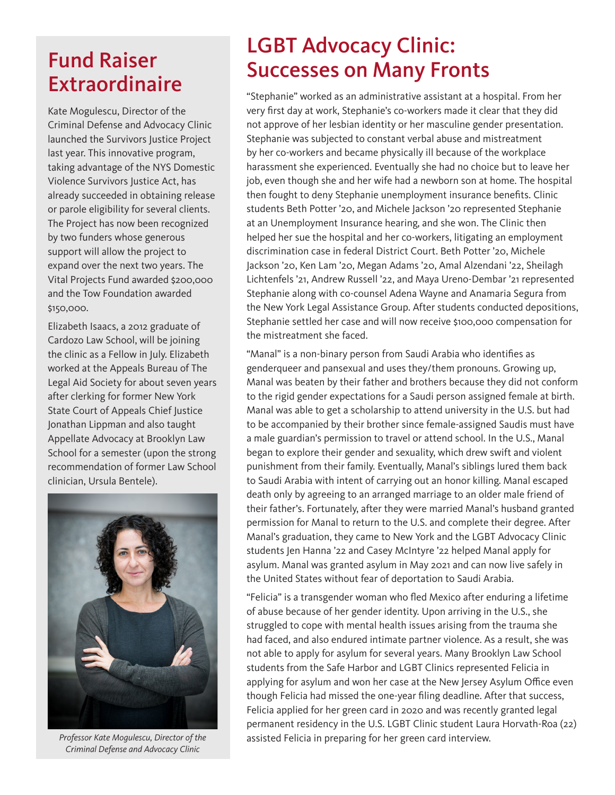#### Fund Raiser Extraordinaire

Kate Mogulescu, Director of the Criminal Defense and Advocacy Clinic launched the Survivors Justice Project last year. This innovative program, taking advantage of the NYS Domestic Violence Survivors Justice Act, has already succeeded in obtaining release or parole eligibility for several clients. The Project has now been recognized by two funders whose generous support will allow the project to expand over the next two years. The Vital Projects Fund awarded \$200,000 and the Tow Foundation awarded \$150,000.

Elizabeth Isaacs, a 2012 graduate of Cardozo Law School, will be joining the clinic as a Fellow in July. Elizabeth worked at the Appeals Bureau of The Legal Aid Society for about seven years after clerking for former New York State Court of Appeals Chief Justice Jonathan Lippman and also taught Appellate Advocacy at Brooklyn Law School for a semester (upon the strong recommendation of former Law School clinician, Ursula Bentele).



*Criminal Defense and Advocacy Clinic*

#### LGBT Advocacy Clinic: Successes on Many Fronts

"Stephanie" worked as an administrative assistant at a hospital. From her very first day at work, Stephanie's co-workers made it clear that they did not approve of her lesbian identity or her masculine gender presentation. Stephanie was subjected to constant verbal abuse and mistreatment by her co-workers and became physically ill because of the workplace harassment she experienced. Eventually she had no choice but to leave her job, even though she and her wife had a newborn son at home. The hospital then fought to deny Stephanie unemployment insurance benefits. Clinic students Beth Potter '20, and Michele Jackson '20 represented Stephanie at an Unemployment Insurance hearing, and she won. The Clinic then helped her sue the hospital and her co-workers, litigating an employment discrimination case in federal District Court. Beth Potter '20, Michele Jackson '20, Ken Lam '20, Megan Adams '20, Amal Alzendani '22, Sheilagh Lichtenfels '21, Andrew Russell '22, and Maya Ureno-Dembar '21 represented Stephanie along with co-counsel Adena Wayne and Anamaria Segura from the New York Legal Assistance Group. After students conducted depositions, Stephanie settled her case and will now receive \$100,000 compensation for the mistreatment she faced.

"Manal" is a non-binary person from Saudi Arabia who identifies as genderqueer and pansexual and uses they/them pronouns. Growing up, Manal was beaten by their father and brothers because they did not conform to the rigid gender expectations for a Saudi person assigned female at birth. Manal was able to get a scholarship to attend university in the U.S. but had to be accompanied by their brother since female-assigned Saudis must have a male guardian's permission to travel or attend school. In the U.S., Manal began to explore their gender and sexuality, which drew swift and violent punishment from their family. Eventually, Manal's siblings lured them back to Saudi Arabia with intent of carrying out an honor killing. Manal escaped death only by agreeing to an arranged marriage to an older male friend of their father's. Fortunately, after they were married Manal's husband granted permission for Manal to return to the U.S. and complete their degree. After Manal's graduation, they came to New York and the LGBT Advocacy Clinic students Jen Hanna '22 and Casey McIntyre '22 helped Manal apply for asylum. Manal was granted asylum in May 2021 and can now live safely in the United States without fear of deportation to Saudi Arabia.

"Felicia" is a transgender woman who fled Mexico after enduring a lifetime of abuse because of her gender identity. Upon arriving in the U.S., she struggled to cope with mental health issues arising from the trauma she had faced, and also endured intimate partner violence. As a result, she was not able to apply for asylum for several years. Many Brooklyn Law School students from the Safe Harbor and LGBT Clinics represented Felicia in applying for asylum and won her case at the New Jersey Asylum Office even though Felicia had missed the one-year filing deadline. After that success, Felicia applied for her green card in 2020 and was recently granted legal permanent residency in the U.S. LGBT Clinic student Laura Horvath-Roa (22) *Professor Kate Mogulescu, Director of the* assisted Felicia in preparing for her green card interview.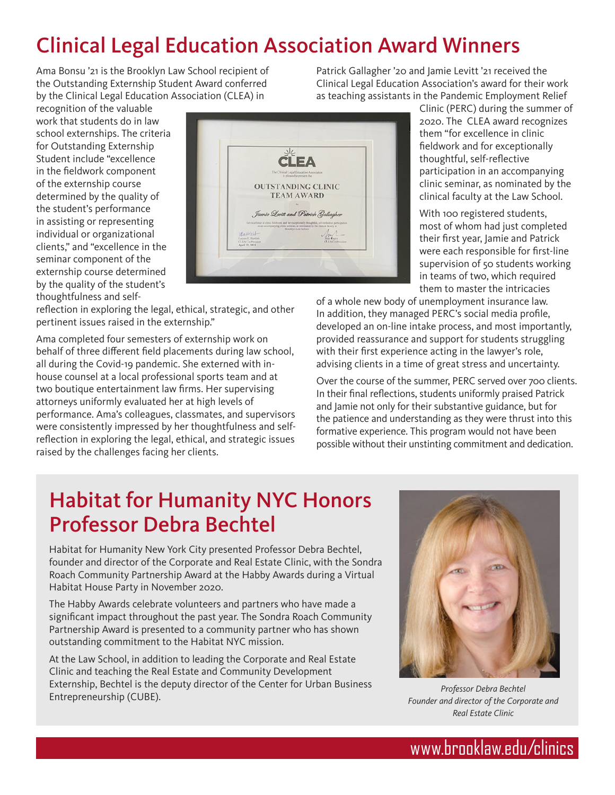# Clinical Legal Education Association Award Winners

Ama Bonsu '21 is the Brooklyn Law School recipient of the Outstanding Externship Student Award conferred by the Clinical Legal Education Association (CLEA) in

recognition of the valuable work that students do in law school externships. The criteria for Outstanding Externship Student include "excellence in the fieldwork component of the externship course determined by the quality of the student's performance in assisting or representing individual or organizational clients," and "excellence in the seminar component of the externship course determined by the quality of the student's thoughtfulness and self-



reflection in exploring the legal, ethical, strategic, and other pertinent issues raised in the externship."

Ama completed four semesters of externship work on behalf of three different field placements during law school, all during the Covid-19 pandemic. She externed with inhouse counsel at a local professional sports team and at two boutique entertainment law firms. Her supervising attorneys uniformly evaluated her at high levels of performance. Ama's colleagues, classmates, and supervisors were consistently impressed by her thoughtfulness and selfreflection in exploring the legal, ethical, and strategic issues raised by the challenges facing her clients.

Patrick Gallagher '20 and Jamie Levitt '21 received the Clinical Legal Education Association's award for their work as teaching assistants in the Pandemic Employment Relief

> Clinic (PERC) during the summer of 2020. The CLEA award recognizes them "for excellence in clinic fieldwork and for exceptionally thoughtful, self-reflective participation in an accompanying clinic seminar, as nominated by the clinical faculty at the Law School.

With 100 registered students, most of whom had just completed their first year, Jamie and Patrick were each responsible for first-line supervision of 50 students working in teams of two, which required them to master the intricacies

of a whole new body of unemployment insurance law. In addition, they managed PERC's social media profile, developed an on-line intake process, and most importantly, provided reassurance and support for students struggling with their first experience acting in the lawyer's role, advising clients in a time of great stress and uncertainty.

Over the course of the summer, PERC served over 700 clients. In their final reflections, students uniformly praised Patrick and Jamie not only for their substantive guidance, but for the patience and understanding as they were thrust into this formative experience. This program would not have been possible without their unstinting commitment and dedication.

#### Habitat for Humanity NYC Honors Professor Debra Bechtel

Habitat for Humanity New York City presented Professor Debra Bechtel, founder and director of the Corporate and Real Estate Clinic, with the Sondra Roach Community Partnership Award at the Habby Awards during a Virtual Habitat House Party in November 2020.

The Habby Awards celebrate volunteers and partners who have made a significant impact throughout the past year. The Sondra Roach Community Partnership Award is presented to a community partner who has shown outstanding commitment to the Habitat NYC mission.

At the Law School, in addition to leading the Corporate and Real Estate Clinic and teaching the Real Estate and Community Development Externship, Bechtel is the deputy director of the Center for Urban Business Entrepreneurship (CUBE).



*Professor Debra Bechtel Founder and director of the Corporate and Real Estate Clinic*